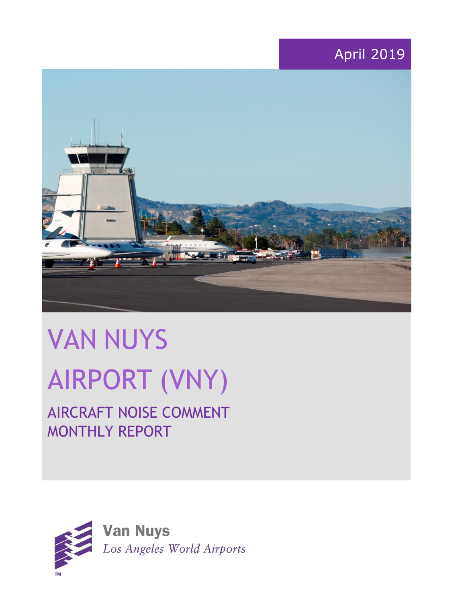# April 2019



# VAN NUYS AIRPORT (VNY)

# AIRCRAFT NOISE COMMENT MONTHLY REPORT

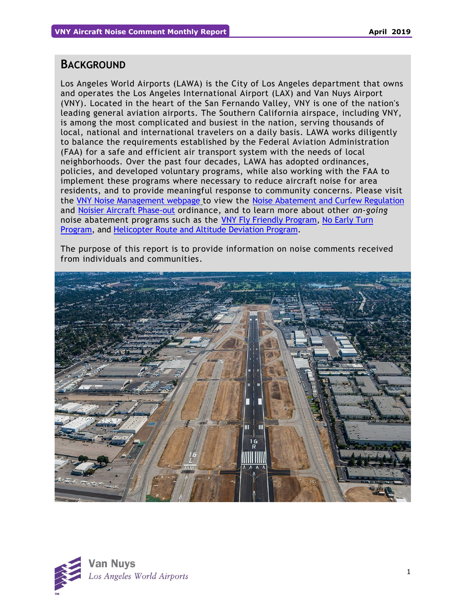## **BACKGROUND**

Los Angeles World Airports (LAWA) is the City of Los Angeles department that owns and operates the Los Angeles International Airport (LAX) and Van Nuys Airport (VNY). Located in the heart of the San Fernando Valley, VNY is one of the nation's leading general aviation airports. The Southern California airspace, including VNY, is among the most complicated and busiest in the nation, serving thousands of local, national and international travelers on a daily basis. LAWA works diligently to balance the requirements established by the Federal Aviation Administration (FAA) for a safe and efficient air transport system with the needs of local neighborhoods. Over the past four decades, LAWA has adopted ordinances, policies, and developed voluntary programs, while also working with the FAA to implement these programs where necessary to reduce aircraft noise for area residents, and to provide meaningful response to community concerns. Please visit the [VNY Noise Management webpage](http://www.lawa.org/VNYNoise) to view the [Noise Abatement and Curfew Regulation](https://www.lawa.org/-/media/lawa-web/tenants411/file/noise_programs.ashx?la=en&hash=86DDE7D9764689AC37E24CD4FAA33C7FE9FC8DA1#"page=7" ) and [Noisier Aircraft Phase-out](https://www.lawa.org/-/media/lawa-web/tenants411/file/noise_programs.ashx?la=en&hash=86DDE7D9764689AC37E24CD4FAA33C7FE9FC8DA1#page=7) ordinance, and to learn more about other *on-going* noise abatement programs such as the [VNY Fly Friendly Program,](https://www.lawa.org/en/lawa-environment/noise-management/van-nuys/vny-fly-friendly-quiet-departure-program) [No Early Turn](https://prodcd.iflyvny.com/en/no-early-turn)  [Program,](https://prodcd.iflyvny.com/en/no-early-turn) and [Helicopter Route and Altitude Deviation Program.](https://www.lawa.org/-/media/lawa-web/tenants411/file/noise_programs.ashx?la=en&hash=86DDE7D9764689AC37E24CD4FAA33C7FE9FC8DA1#"page=8")

The purpose of this report is to provide information on noise comments received from individuals and communities.



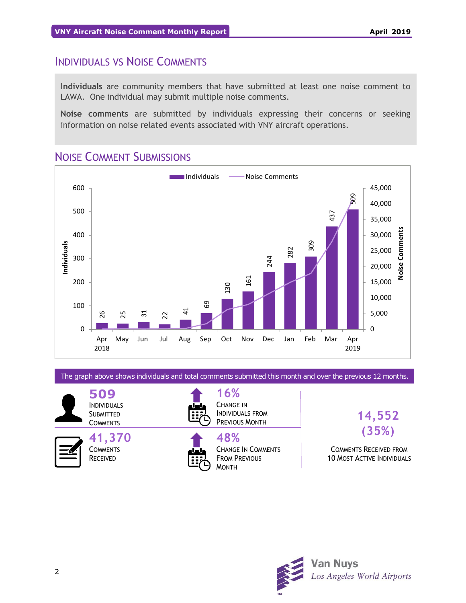# INDIVIDUALS VS NOISE COMMENTS

**Individuals** are community members that have submitted at least one noise comment to LAWA. One individual may submit multiple noise comments.

**Noise comments** are submitted by individuals expressing their concerns or seeking information on noise related events associated with VNY aircraft operations.

# NOISE COMMENT SUBMISSIONS



The graph above shows individuals and total comments submitted this month and over the previous 12 months.

**509** INDIVIDUALS **SUBMITTED COMMENTS** 

> **41,370 COMMENTS** RECEIVED



**16%** CHANGE IN INDIVIDUALS FROM PREVIOUS MONTH



**48%** CHANGE IN COMMENTS FROM PREVIOUS

**14,552 (35%)**

COMMENTS RECEIVED FROM 10 MOST ACTIVE INDIVIDUALS

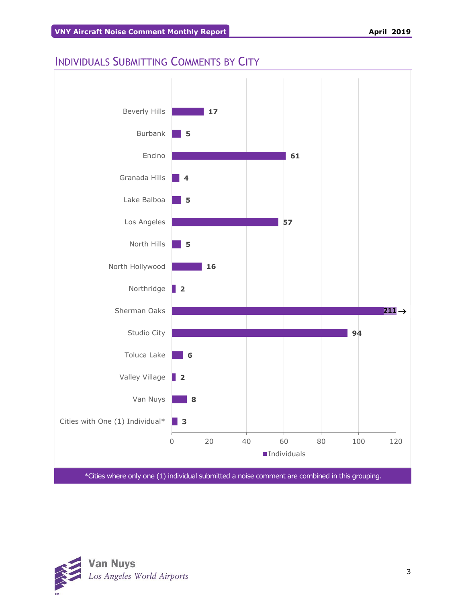# INDIVIDUALS SUBMITTING COMMENTS BY CITY



\*Cities where only one (1) individual submitted a noise comment are combined in this grouping.

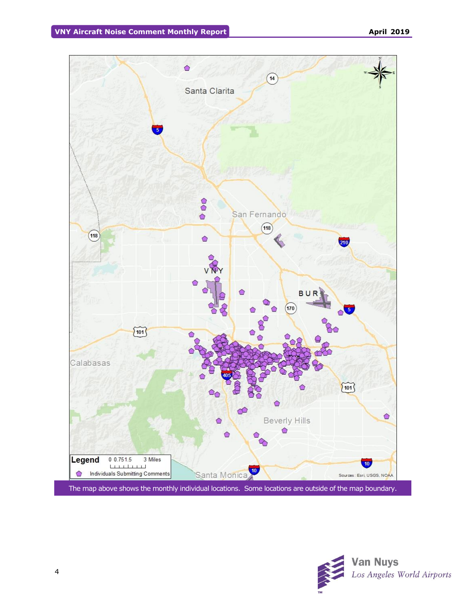

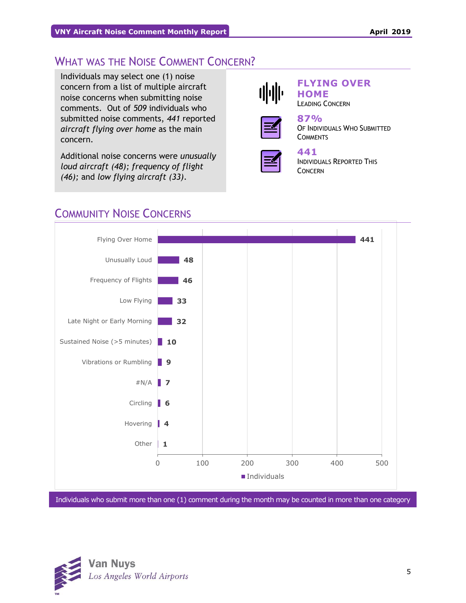# WHAT WAS THE NOISE COMMENT CONCERN?

Individuals may select one (1) noise concern from a list of multiple aircraft noise concerns when submitting noise comments. Out of *509* individuals who submitted noise comments, *441* reported *aircraft flying over home* as the main concern.

Additional noise concerns were *unusually loud aircraft (48); frequency of flight (46);* and *low flying aircraft (33)*.



## **FLYING OVER HOME**

LEADING CONCERN



#### **87%** OF INDIVIDUALS WHO SUBMITTED **COMMENTS**



#### **441**  INDIVIDUALS REPORTED THIS

CONCERN

# COMMUNITY NOISE CONCERNS



Individuals who submit more than one (1) comment during the month may be counted in more than one category